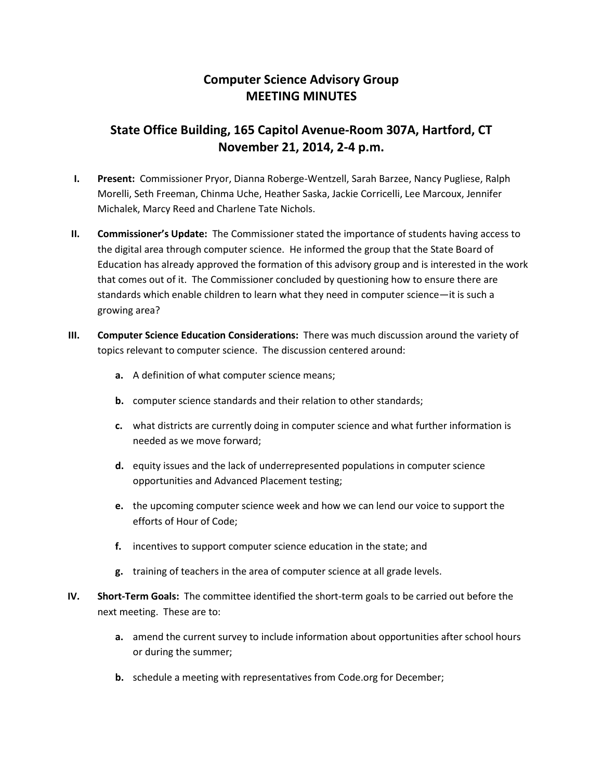## **Computer Science Advisory Group MEETING MINUTES**

## **State Office Building, 165 Capitol Avenue-Room 307A, Hartford, CT November 21, 2014, 2-4 p.m.**

- **I. Present:** Commissioner Pryor, Dianna Roberge-Wentzell, Sarah Barzee, Nancy Pugliese, Ralph Morelli, Seth Freeman, Chinma Uche, Heather Saska, Jackie Corricelli, Lee Marcoux, Jennifer Michalek, Marcy Reed and Charlene Tate Nichols.
- **II. Commissioner's Update:** The Commissioner stated the importance of students having access to the digital area through computer science. He informed the group that the State Board of Education has already approved the formation of this advisory group and is interested in the work that comes out of it. The Commissioner concluded by questioning how to ensure there are standards which enable children to learn what they need in computer science—it is such a growing area?
- **III. Computer Science Education Considerations:** There was much discussion around the variety of topics relevant to computer science. The discussion centered around:
	- **a.** A definition of what computer science means;
	- **b.** computer science standards and their relation to other standards;
	- **c.** what districts are currently doing in computer science and what further information is needed as we move forward;
	- **d.** equity issues and the lack of underrepresented populations in computer science opportunities and Advanced Placement testing;
	- **e.** the upcoming computer science week and how we can lend our voice to support the efforts of Hour of Code;
	- **f.** incentives to support computer science education in the state; and
	- **g.** training of teachers in the area of computer science at all grade levels.
- **IV. Short-Term Goals:** The committee identified the short-term goals to be carried out before the next meeting. These are to:
	- **a.** amend the current survey to include information about opportunities after school hours or during the summer;
	- **b.** schedule a meeting with representatives from Code.org for December;